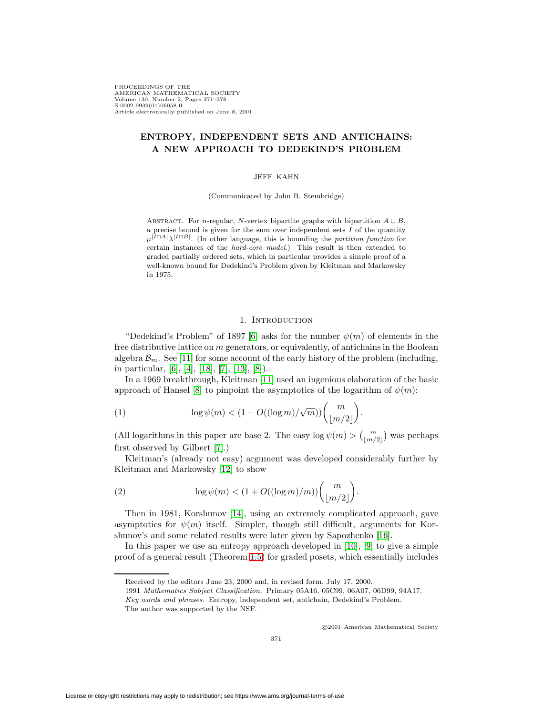PROCEEDINGS OF THE AMERICAN MATHEMATICAL SOCIETY Volume 130, Number 2, Pages 371–378 S 0002-9939(01)06058-0 Article electronically published on June 8, 2001

# **ENTROPY, INDEPENDENT SETS AND ANTICHAINS: A NEW APPROACH TO DEDEKIND'S PROBLEM**

#### JEFF KAHN

(Communicated by John R. Stembridge)

ABSTRACT. For n-regular, N-vertex bipartite graphs with bipartition  $A \cup B$ , a precise bound is given for the sum over independent sets  $I$  of the quantity  $\mu^{|I \cap A|} \lambda^{|I \cap B|}$ . (In other language, this is bounding the partition function for certain instances of the hard-core model.) This result is then extended to graded partially ordered sets, which in particular provides a simple proof of a well-known bound for Dedekind's Problem given by Kleitman and Markowsky in 1975.

# 1. INTRODUCTION

"Dedekind's Problem" of 1897 [\[6\]](#page-6-0) asks for the number  $\psi(m)$  of elements in the free distributive lattice on m generators, or equivalently, of antichains in the Boolean algebra  $\mathcal{B}_m$ . See [\[11\]](#page-7-0) for some account of the early history of the problem (including, in particular, [\[6\]](#page-6-0), [\[4\]](#page-6-1), [\[18\]](#page-7-1), [\[7\]](#page-6-2), [\[13\]](#page-7-2), [\[8\]](#page-6-3)).

In a 1969 breakthrough, Kleitman [\[11\]](#page-7-0) used an ingenious elaboration of the basic approach of Hansel [\[8\]](#page-6-3) to pinpoint the asymptotics of the logarithm of  $\psi(m)$ :

(1) 
$$
\log \psi(m) < (1 + O((\log m)/\sqrt{m}))\binom{m}{\lfloor m/2 \rfloor}.
$$

(All logarithms in this paper are base 2. The easy  $\log \psi(m) > {\binom{m}{\lfloor m/2 \rfloor}}$  was perhaps first observed by Gilbert [\[7\]](#page-6-2).)

Kleitman's (already not easy) argument was developed considerably further by Kleitman and Markowsky [\[12\]](#page-7-3) to show

<span id="page-0-0"></span>(2) 
$$
\log \psi(m) < (1 + O((\log m)/m)) \binom{m}{\lfloor m/2 \rfloor}.
$$

Then in 1981, Korshunov [\[14\]](#page-7-4), using an extremely complicated approach, gave asymptotics for  $\psi(m)$  itself. Simpler, though still difficult, arguments for Korshunov's and some related results were later given by Sapozhenko [\[16\]](#page-7-5).

In this paper we use an entropy approach developed in [\[10\]](#page-6-4), [\[9\]](#page-6-5) to give a simple proof of a general result (Theorem [1.5\)](#page-2-0) for graded posets, which essentially includes

c 2001 American Mathematical Society

Received by the editors June 23, 2000 and, in revised form, July 17, 2000.

<sup>1991</sup> Mathematics Subject Classification. Primary 05A16, 05C99, 06A07, 06D99, 94A17.

Key words and phrases. Entropy, independent set, antichain, Dedekind's Problem.

The author was supported by the NSF.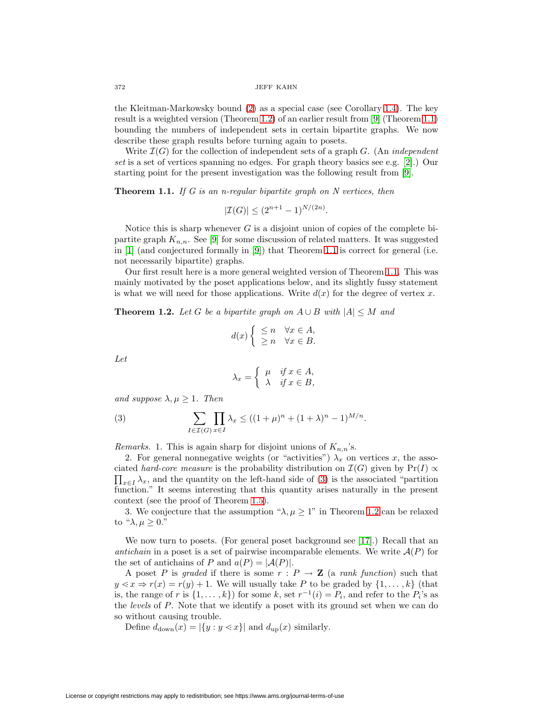the Kleitman-Markowsky bound [\(2\)](#page-0-0) as a special case (see Corollary [1.4\)](#page-2-1). The key result is a weighted version (Theorem [1.2\)](#page-1-0) of an earlier result from [\[9\]](#page-6-5) (Theorem [1.1\)](#page-1-1) bounding the numbers of independent sets in certain bipartite graphs. We now describe these graph results before turning again to posets.

Write  $\mathcal{I}(G)$  for the collection of independent sets of a graph G. (An *independent* set is a set of vertices spanning no edges. For graph theory basics see e.g. [\[2\]](#page-6-6).) Our starting point for the present investigation was the following result from [\[9\]](#page-6-5).

<span id="page-1-1"></span>**Theorem 1.1.** If G is an n-regular bipartite graph on N vertices, then

$$
|\mathcal{I}(G)| \le (2^{n+1} - 1)^{N/(2n)}.
$$

Notice this is sharp whenever  $G$  is a disjoint union of copies of the complete bipartite graph  $K_{n,n}$ . See [\[9\]](#page-6-5) for some discussion of related matters. It was suggested in [\[1\]](#page-6-7) (and conjectured formally in [\[9\]](#page-6-5)) that Theorem [1.1](#page-1-1) is correct for general (i.e. not necessarily bipartite) graphs.

Our first result here is a more general weighted version of Theorem [1.1.](#page-1-1) This was mainly motivated by the poset applications below, and its slightly fussy statement is what we will need for those applications. Write  $d(x)$  for the degree of vertex x.

<span id="page-1-0"></span>**Theorem 1.2.** Let G be a bipartite graph on  $A \cup B$  with  $|A| \leq M$  and

$$
d(x) \begin{cases} \leq n & \forall x \in A, \\ \geq n & \forall x \in B. \end{cases}
$$

Let

$$
\lambda_x = \begin{cases} \mu & \text{if } x \in A, \\ \lambda & \text{if } x \in B, \end{cases}
$$

<span id="page-1-2"></span>and suppose  $\lambda, \mu \geq 1$ . Then

(3) 
$$
\sum_{I \in \mathcal{I}(G)} \prod_{x \in I} \lambda_x \le ((1 + \mu)^n + (1 + \lambda)^n - 1)^{M/n}.
$$

*Remarks.* 1. This is again sharp for disjoint unions of  $K_{n,n}$ 's.

2. For general nonnegative weights (or "activities")  $\lambda_x$  on vertices x, the asso- $\prod_{x\in I}\lambda_x$ , and the quantity on the left-hand side of [\(3\)](#page-1-2) is the associated "partition ciated hard-core measure is the probability distribution on  $\mathcal{I}(G)$  given by Pr(I)  $\propto$ function." It seems interesting that this quantity arises naturally in the present context (see the proof of Theorem [1.5\)](#page-2-0).

3. We conjecture that the assumption " $\lambda, \mu \geq 1$ " in Theorem [1.2](#page-1-0) can be relaxed to " $\lambda, \mu > 0$ ."

We now turn to posets. (For general poset background see [\[17\]](#page-7-6).) Recall that an antichain in a poset is a set of pairwise incomparable elements. We write  $\mathcal{A}(P)$  for the set of antichains of P and  $a(P) = |\mathcal{A}(P)|$ .

A poset P is graded if there is some  $r : P \to \mathbf{Z}$  (a rank function) such that  $y \leq x \Rightarrow r(x) = r(y) + 1$ . We will usually take P to be graded by  $\{1, \ldots, k\}$  (that is, the range of r is  $\{1,\ldots,k\}$  for some k, set  $r^{-1}(i) = P_i$ , and refer to the  $P_i$ 's as the levels of P. Note that we identify a poset with its ground set when we can do so without causing trouble.

Define  $d_{\text{down}}(x) = |\{y : y \leq x\}|$  and  $d_{\text{up}}(x)$  similarly.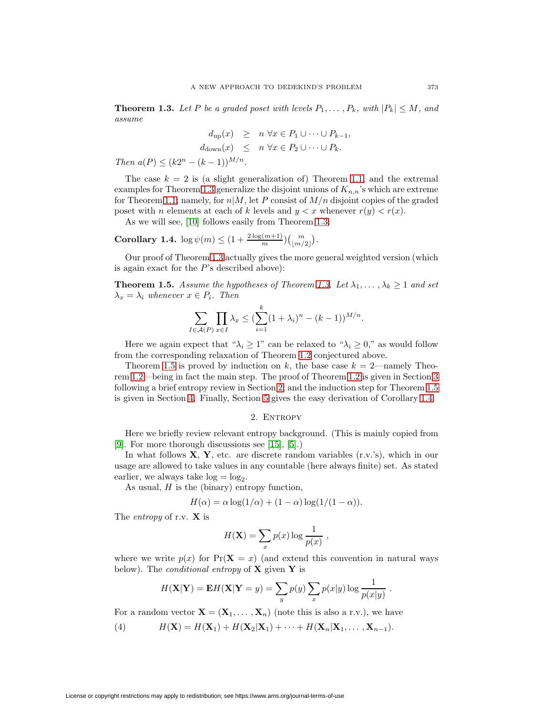<span id="page-2-2"></span>**Theorem 1.3.** Let P be a graded poset with levels  $P_1, \ldots, P_k$ , with  $|P_k| \leq M$ , and assume

$$
d_{\text{up}}(x) \geq n \,\forall x \in P_1 \cup \dots \cup P_{k-1},
$$
  

$$
d_{\text{down}}(x) \leq n \,\forall x \in P_2 \cup \dots \cup P_k.
$$

Then  $a(P) \leq (k2^n - (k-1))^{M/n}$ .

The case  $k = 2$  is (a slight generalization of) Theorem [1.1,](#page-1-1) and the extremal examples for Theorem [1.3](#page-2-2) generalize the disjoint unions of  $K_{n,n}$ 's which are extreme for Theorem [1.1;](#page-1-1) namely, for  $n|M$ , let P consist of  $M/n$  disjoint copies of the graded poset with *n* elements at each of *k* levels and  $y < x$  whenever  $r(y) < r(x)$ .

As we will see, [\[10\]](#page-6-4) follows easily from Theorem [1.3:](#page-2-2)

<span id="page-2-1"></span>**Corollary 1.4.**  $\log \psi(m) \leq (1 + \frac{2 \log(m+1)}{m}) {m \choose \lfloor m/2 \rfloor}.$ 

<span id="page-2-0"></span>Our proof of Theorem [1.3](#page-2-2) actually gives the more general weighted version (which is again exact for the  $P$ 's described above):

**Theorem 1.5.** Assume the hypotheses of Theorem [1.3.](#page-2-2) Let  $\lambda_1, \ldots, \lambda_k \geq 1$  and set  $\lambda_x = \lambda_i$  whenever  $x \in P_i$ . Then

$$
\sum_{I \in \mathcal{A}(P)} \prod_{x \in I} \lambda_x \leq (\sum_{i=1}^k (1 + \lambda_i)^n - (k - 1))^{M/n}.
$$

Here we again expect that " $\lambda_i \geq 1$ " can be relaxed to " $\lambda_i \geq 0$ ," as would follow from the corresponding relaxation of Theorem [1.2](#page-1-0) conjectured above.

Theorem [1.5](#page-2-0) is proved by induction on k, the base case  $k = 2$ —namely Theorem [1.2—](#page-1-0)being in fact the main step. The proof of Theorem [1.2](#page-1-0) is given in Section [3](#page-3-0) following a brief entropy review in Section [2,](#page-2-3) and the induction step for Theorem [1.5](#page-2-0) is given in Section [4.](#page-5-0) Finally, Section [5](#page-6-8) gives the easy derivation of Corollary [1.4.](#page-2-1)

2. ENTROPY

<span id="page-2-3"></span>Here we briefly review relevant entropy background. (This is mainly copied from [\[9\]](#page-6-5). For more thorough discussions see [\[15\]](#page-7-7), [\[5\]](#page-6-9).)

In what follows **X**, **Y**, etc. are discrete random variables (r.v.'s), which in our usage are allowed to take values in any countable (here always finite) set. As stated earlier, we always take  $log = log_2$ .

As usual,  $H$  is the (binary) entropy function,

$$
H(\alpha) = \alpha \log(1/\alpha) + (1 - \alpha) \log(1/(1 - \alpha)).
$$

The entropy of r.v. **X** is

$$
H(\mathbf{X}) = \sum_{x} p(x) \log \frac{1}{p(x)},
$$

where we write  $p(x)$  for  $Pr(X = x)$  (and extend this convention in natural ways below). The conditional entropy of **X** given **Y** is

$$
H(\mathbf{X}|\mathbf{Y}) = \mathbf{E}H(\mathbf{X}|\mathbf{Y}=y) = \sum_{y} p(y) \sum_{x} p(x|y) \log \frac{1}{p(x|y)}.
$$

<span id="page-2-4"></span>For a random vector  $\mathbf{X} = (\mathbf{X}_1, \dots, \mathbf{X}_n)$  (note this is also a r.v.), we have

(4)  $H(\mathbf{X}) = H(\mathbf{X}_1) + H(\mathbf{X}_2|\mathbf{X}_1) + \cdots + H(\mathbf{X}_n|\mathbf{X}_1,\ldots,\mathbf{X}_{n-1}).$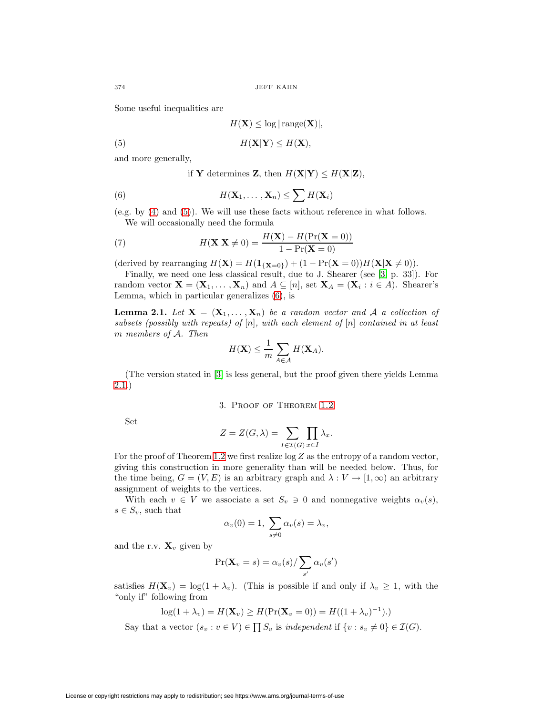Some useful inequalities are

$$
H(\mathbf{X}) \le \log|\operatorname{range}(\mathbf{X})|,
$$

(5) H(**X**|**Y**) ≤ H(**X**),

and more generally,

<span id="page-3-2"></span><span id="page-3-1"></span>if **Y** determines **Z**, then  $H(X|Y) \leq H(X|Z)$ ,

(6) 
$$
H(\mathbf{X}_1,\ldots,\mathbf{X}_n)\leq \sum H(\mathbf{X}_i)
$$

(e.g. by [\(4\)](#page-2-4) and [\(5\)](#page-3-1)). We will use these facts without reference in what follows. We will occasionally need the formula

<span id="page-3-4"></span>(7) 
$$
H(\mathbf{X}|\mathbf{X} \neq 0) = \frac{H(\mathbf{X}) - H(\Pr(\mathbf{X} = 0))}{1 - \Pr(\mathbf{X} = 0)}
$$

(derived by rearranging  $H(\mathbf{X}) = H(\mathbf{1}_{\{\mathbf{X}=0\}}) + (1 - \Pr(\mathbf{X}=0))H(\mathbf{X}|\mathbf{X}\neq 0)).$ 

Finally, we need one less classical result, due to J. Shearer (see [\[3,](#page-6-10) p. 33]). For random vector  $\mathbf{X} = (\mathbf{X}_1, \dots, \mathbf{X}_n)$  and  $A \subseteq [n]$ , set  $\mathbf{X}_A = (\mathbf{X}_i : i \in A)$ . Shearer's Lemma, which in particular generalizes [\(6\)](#page-3-2), is

<span id="page-3-3"></span>**Lemma 2.1.** Let  $X = (X_1, \ldots, X_n)$  be a random vector and A a collection of subsets (possibly with repeats) of  $[n]$ , with each element of  $[n]$  contained in at least m members of A. Then

$$
H(\mathbf{X}) \leq \frac{1}{m} \sum_{A \in \mathcal{A}} H(\mathbf{X}_A).
$$

<span id="page-3-0"></span>(The version stated in [\[3\]](#page-6-10) is less general, but the proof given there yields Lemma [2.1.](#page-3-3))

# 3. Proof of Theorem [1.2](#page-1-0)

Set

$$
Z = Z(G, \lambda) = \sum_{I \in \mathcal{I}(G)} \prod_{x \in I} \lambda_x.
$$

For the proof of Theorem [1.2](#page-1-0) we first realize  $\log Z$  as the entropy of a random vector, giving this construction in more generality than will be needed below. Thus, for the time being,  $G = (V, E)$  is an arbitrary graph and  $\lambda : V \to [1, \infty)$  an arbitrary assignment of weights to the vertices.

With each  $v \in V$  we associate a set  $S_v \ni 0$  and nonnegative weights  $\alpha_v(s)$ ,  $s \in S_v$ , such that

$$
\alpha_v(0) = 1, \ \sum_{s \neq 0} \alpha_v(s) = \lambda_v,
$$

and the r.v.  $\mathbf{X}_v$  given by

$$
\Pr(\mathbf{X}_v = s) = \alpha_v(s) / \sum_{s'} \alpha_v(s')
$$

satisfies  $H(\mathbf{X}_v) = \log(1 + \lambda_v)$ . (This is possible if and only if  $\lambda_v \geq 1$ , with the "only if" following from

$$
\log(1+\lambda_v) = H(\mathbf{X}_v) \ge H(\Pr(\mathbf{X}_v = 0)) = H((1+\lambda_v)^{-1}).)
$$

Say that a vector  $(s_v : v \in V) \in \prod S_v$  is independent if  $\{v : s_v \neq 0\} \in \mathcal{I}(G)$ .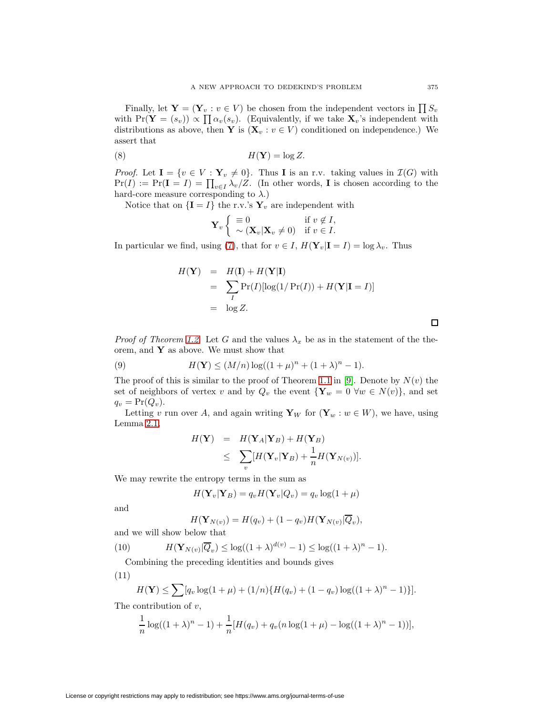Finally, let  $\mathbf{Y} = (\mathbf{Y}_v : v \in V)$  be chosen from the independent vectors in  $\prod S_v$ with  $Pr(Y = (s_v)) \propto \prod_{v} \alpha_v(s_v)$ . (Equivalently, if we take  $\mathbf{X}_v$ 's independent with distributions as above, then **Y** is  $(\mathbf{X}_v : v \in V)$  conditioned on independence.) We assert that

(8) H(**Y**) = log Z.

*Proof.* Let  $I = \{v \in V : Y_v \neq 0\}$ . Thus **I** is an r.v. taking values in  $\mathcal{I}(G)$  with  $Pr(I) := Pr(I = I) = \prod_{v \in I} \lambda_v / Z.$  (In other words, **I** is chosen according to the hard-core measure corresponding to  $\lambda$ .)

Notice that on  ${\bf I} = I$  the r.v.'s  ${\bf Y}_v$  are independent with

$$
\mathbf{Y}_v \left\{ \begin{array}{ll} \equiv 0 & \text{if } v \notin I, \\ \sim (\mathbf{X}_v | \mathbf{X}_v \neq 0) & \text{if } v \in I. \end{array} \right.
$$

In particular we find, using [\(7\)](#page-3-4), that for  $v \in I$ ,  $H(\mathbf{Y}_v|\mathbf{I} = I) = \log \lambda_v$ . Thus

$$
H(\mathbf{Y}) = H(\mathbf{I}) + H(\mathbf{Y}|\mathbf{I})
$$
  
= 
$$
\sum_{I} \Pr(I) [\log(1/\Pr(I)) + H(\mathbf{Y}|\mathbf{I} = I)]
$$
  
= 
$$
\log Z.
$$

<span id="page-4-1"></span>*Proof of Theorem [1.2.](#page-1-0)* Let G and the values  $\lambda_x$  be as in the statement of the theorem, and **Y** as above. We must show that

(9) 
$$
H(\mathbf{Y}) \le (M/n) \log((1+\mu)^n + (1+\lambda)^n - 1).
$$

The proof of this is similar to the proof of Theorem [1.1](#page-1-1) in [\[9\]](#page-6-5). Denote by  $N(v)$  the set of neighbors of vertex v and by  $Q_v$  the event  ${\bf Y}_w = 0 \ \forall w \in N(v)$ , and set  $q_v = \Pr(Q_v)$ .

Letting v run over A, and again writing  $\mathbf{Y}_W$  for  $(\mathbf{Y}_w : w \in W)$ , we have, using Lemma [2.1,](#page-3-3)

$$
H(\mathbf{Y}) = H(\mathbf{Y}_A|\mathbf{Y}_B) + H(\mathbf{Y}_B)
$$
  
\n
$$
\leq \sum_{v} [H(\mathbf{Y}_v|\mathbf{Y}_B) + \frac{1}{n}H(\mathbf{Y}_{N(v)})].
$$

We may rewrite the entropy terms in the sum as

$$
H(\mathbf{Y}_v|\mathbf{Y}_B) = q_v H(\mathbf{Y}_v|Q_v) = q_v \log(1 + \mu)
$$

and

$$
H(\mathbf{Y}_{N(v)}) = H(q_v) + (1 - q_v)H(\mathbf{Y}_{N(v)}|\overline{Q}_v),
$$

<span id="page-4-2"></span>and we will show below that

(10) 
$$
H(\mathbf{Y}_{N(v)}|\overline{Q}_v) \leq \log((1+\lambda)^{d(v)}-1) \leq \log((1+\lambda)^n-1).
$$

Combining the preceding identities and bounds gives

<span id="page-4-0"></span>
$$
(11)
$$

$$
H(\mathbf{Y}) \le \sum [q_v \log(1 + \mu) + (1/n)\{H(q_v) + (1 - q_v) \log((1 + \lambda)^n - 1)\}].
$$

The contribution of  $v$ ,

$$
\frac{1}{n}\log((1+\lambda)^n - 1) + \frac{1}{n}[H(q_v) + q_v(n\log(1+\mu) - \log((1+\lambda)^n - 1))],
$$

 $\Box$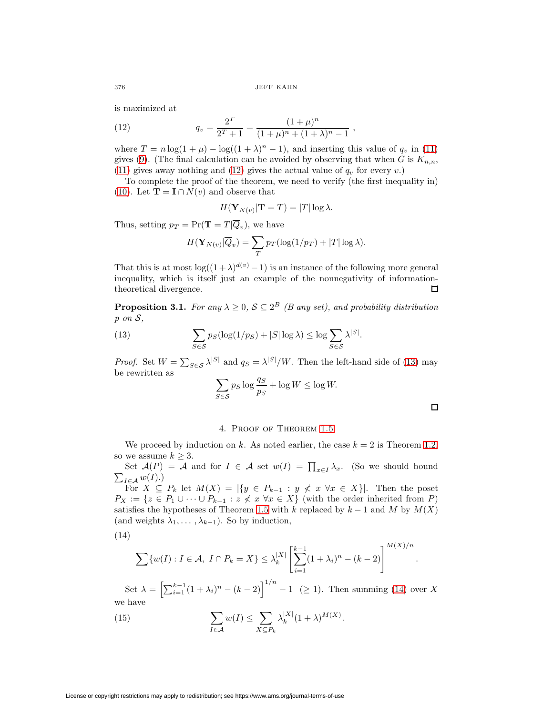<span id="page-5-1"></span>is maximized at

(12) 
$$
q_v = \frac{2^T}{2^T + 1} = \frac{(1 + \mu)^n}{(1 + \mu)^n + (1 + \lambda)^n - 1},
$$

where  $T = n \log(1 + \mu) - \log((1 + \lambda)^n - 1)$ , and inserting this value of  $q_v$  in [\(11\)](#page-4-0) gives [\(9\)](#page-4-1). (The final calculation can be avoided by observing that when G is  $K_{n,n}$ , [\(11\)](#page-4-0) gives away nothing and [\(12\)](#page-5-1) gives the actual value of  $q_v$  for every v.)

To complete the proof of the theorem, we need to verify (the first inequality in) [\(10\)](#page-4-2). Let **T** = **I** ∩  $N(v)$  and observe that

$$
H(\mathbf{Y}_{N(v)}|\mathbf{T}=T)=|T|\log\lambda.
$$

Thus, setting  $p_T = \Pr(\mathbf{T} = T | \overline{Q}_n)$ , we have

$$
H(\mathbf{Y}_{N(v)}|\overline{Q}_v) = \sum_T p_T(\log(1/p_T) + |T| \log \lambda).
$$

That this is at most  $\log((1+\lambda)^{d(v)}-1)$  is an instance of the following more general inequality, which is itself just an example of the nonnegativity of informationtheoretical divergence.  $\Box$ 

<span id="page-5-2"></span>**Proposition 3.1.** For any  $\lambda \geq 0$ ,  $S \subseteq 2^B$  (B any set), and probability distribution p on S,

(13) 
$$
\sum_{S \in \mathcal{S}} p_S(\log(1/p_S) + |S| \log \lambda) \le \log \sum_{S \in \mathcal{S}} \lambda^{|S|}.
$$

*Proof.* Set  $W = \sum_{S \in \mathcal{S}} \lambda^{|S|}$  and  $q_S = \lambda^{|S|}/W$ . Then the left-hand side of [\(13\)](#page-5-2) may be rewritten as

$$
\sum_{S \in \mathcal{S}} p_S \log \frac{q_S}{p_S} + \log W \le \log W.
$$

.

## 4. Proof of Theorem [1.5](#page-2-0)

<span id="page-5-0"></span>We proceed by induction on k. As noted earlier, the case  $k = 2$  is Theorem [1.2,](#page-1-0) so we assume  $k \geq 3$ .

Set  $\mathcal{A}(P) = \mathcal{A}$  and for  $I \in \mathcal{A}$  set  $w(I) = \prod_{x \in I} \lambda_x$ . (So we should bound  $\sum_{I \in \mathcal{A}} w(I).$ 

For  $X \subseteq P_k$  let  $M(X) = |\{y \in P_{k-1} : y \notin x \forall x \in X\}|$ . Then the poset  $P_X := \{z \in P_1 \cup \cdots \cup P_{k-1} : z \nless x \,\forall x \in X\}$  (with the order inherited from P) satisfies the hypotheses of Theorem [1.5](#page-2-0) with k replaced by  $k-1$  and M by  $M(X)$ (and weights  $\lambda_1, \ldots, \lambda_{k-1}$ ). So by induction,

<span id="page-5-3"></span>
$$
(14)
$$

$$
\sum \{w(I) : I \in \mathcal{A}, \ I \cap P_k = X\} \le \lambda_k^{|X|} \left[\sum_{i=1}^{k-1} (1 + \lambda_i)^n - (k-2)\right]^{M(X)/n}
$$

Set  $\lambda = \left[\sum_{i=1}^{k-1} (1 + \lambda_i)^n - (k-2)\right]^{1/n} - 1 \geq 1$ . Then summing [\(14\)](#page-5-3) over X we have

<span id="page-5-4"></span>(15) 
$$
\sum_{I \in \mathcal{A}} w(I) \leq \sum_{X \subseteq P_k} \lambda_k^{|X|} (1+\lambda)^{M(X)}.
$$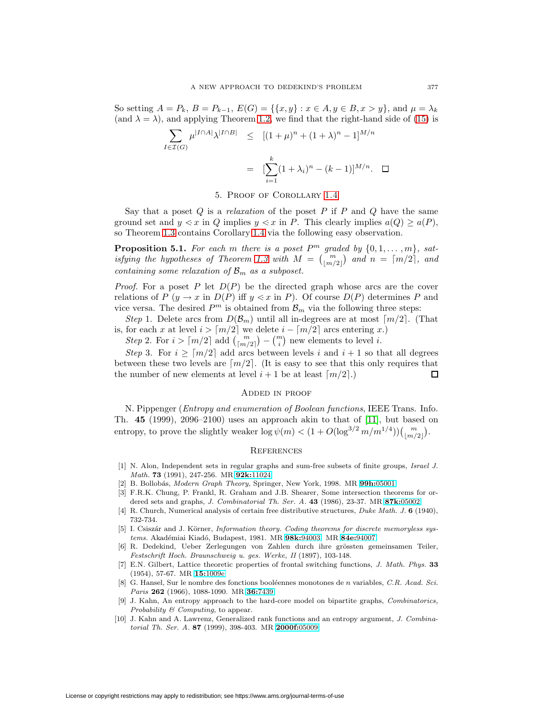So setting  $A = P_k$ ,  $B = P_{k-1}$ ,  $E(G) = \{\{x, y\} : x \in A, y \in B, x > y\}$ , and  $\mu = \lambda_k$ (and  $\lambda = \lambda$ ), and applying Theorem [1.2,](#page-1-0) we find that the right-hand side of [\(15\)](#page-5-4) is

$$
\sum_{I \in \mathcal{I}(G)} \mu^{|I \cap A|} \lambda^{|I \cap B|} \leq [(1 + \mu)^n + (1 + \lambda)^n - 1]^{M/n}
$$

$$
= [\sum_{i=1}^k (1 + \lambda_i)^n - (k - 1)]^{M/n}. \quad \Box
$$

5. Proof of Corollary [1.4](#page-2-1)

<span id="page-6-8"></span>Say that a poset  $Q$  is a *relaxation* of the poset  $P$  if  $P$  and  $Q$  have the same ground set and  $y \leq x$  in Q implies  $y \leq x$  in P. This clearly implies  $a(Q) \geq a(P)$ , so Theorem [1.3](#page-2-2) contains Corollary [1.4](#page-2-1) via the following easy observation.

**Proposition 5.1.** For each m there is a poset  $P^m$  graded by  $\{0, 1, \ldots, m\}$ , sat-isfying the hypotheses of Theorem [1.3](#page-2-2) with  $M = \begin{pmatrix} m \\ \lfloor m/2 \rfloor \end{pmatrix}$  and  $n = \lceil m/2 \rceil$ , and containing some relaxation of  $\mathcal{B}_m$  as a subposet.

*Proof.* For a poset P let  $D(P)$  be the directed graph whose arcs are the cover relations of P  $(y \to x \text{ in } D(P)$  iff  $y \leq x \text{ in } P$ ). Of course  $D(P)$  determines P and vice versa. The desired  $P<sup>m</sup>$  is obtained from  $\mathcal{B}_m$  via the following three steps:

Step 1. Delete arcs from  $D(\mathcal{B}_m)$  until all in-degrees are at most  $\lceil m/2 \rceil$ . (That is, for each x at level  $i > \lceil m/2 \rceil$  we delete  $i - \lceil m/2 \rceil$  arcs entering x.)

Step 2. For  $i > \lceil m/2 \rceil$  add  $\binom{m}{\lceil m/2 \rceil} - \binom{m}{i}$  new elements to level i.

Step 3. For  $i \geq \lceil m/2 \rceil$  add arcs between levels i and  $i + 1$  so that all degrees between these two levels are  $\lceil m/2 \rceil$ . (It is easy to see that this only requires that the number of new elements at level  $i+1$  be at least  $\lceil m/2 \rceil$ .) Π

### Added in proof

N. Pippenger (Entropy and enumeration of Boolean functions, IEEE Trans. Info. Th. **45** (1999), 2096–2100) uses an approach akin to that of [\[11\]](#page-7-0), but based on entropy, to prove the slightly weaker  $\log \psi(m) < (1 + O(\log^{3/2} m/m^{1/4})) {m \choose \lfloor m/2 \rfloor}.$ 

## **REFERENCES**

- <span id="page-6-7"></span><span id="page-6-6"></span>[1] N. Alon, Independent sets in regular graphs and sum-free subsets of finite groups, Israel J. Math. **73** (1991), 247-256. MR **92k:**[11024](http://www.ams.org/mathscinet-getitem?mr=92k:11024)
- [2] B. Bollob´as, Modern Graph Theory, Springer, New York, 1998. MR **99h:**[05001](http://www.ams.org/mathscinet-getitem?mr=99h:05001)
- <span id="page-6-10"></span>[3] F.R.K. Chung, P. Frankl, R. Graham and J.B. Shearer, Some intersection theorems for ordered sets and graphs, J. Combinatorial Th. Ser. A. **43** (1986), 23-37. MR **87k:**[05002](http://www.ams.org/mathscinet-getitem?mr=87k:05002)
- <span id="page-6-1"></span>[4] R. Church, Numerical analysis of certain free distributive structures, Duke Math. J. **6** (1940), 732-734.
- <span id="page-6-9"></span>[5] I. Csiszár and J. Körner, *Information theory. Coding theorems for discrete memoryless sys*tems. Akad´emiai Kiad´o, Budapest, 1981. MR **98k:**[94003;](http://www.ams.org/mathscinet-getitem?mr=98k:94003) MR **84e:**[94007](http://www.ams.org/mathscinet-getitem?mr=84e:94007)
- <span id="page-6-0"></span>[6] R. Dedekind, Ueber Zerlegungen von Zahlen durch ihre grössten gemeinsamen Teiler, Festschrift Hoch. Braunschweig u. ges. Werke, II (1897), 103-148.
- <span id="page-6-2"></span>[7] E.N. Gilbert, Lattice theoretic properties of frontal switching functions, J. Math. Phys. **33** (1954), 57-67. MR **15:**[1009e](http://www.ams.org/mathscinet-getitem?mr=15:1009e)
- <span id="page-6-3"></span>[8] G. Hansel, Sur le nombre des fonctions booléennes monotones de n variables, C.R. Acad. Sci. Paris **262** (1966), 1088-1090. MR **36:**[7439](http://www.ams.org/mathscinet-getitem?mr=36:7439)
- <span id="page-6-5"></span>[9] J. Kahn, An entropy approach to the hard-core model on bipartite graphs, Combinatorics, Probability & Computing, to appear.
- <span id="page-6-4"></span>[10] J. Kahn and A. Lawrenz, Generalized rank functions and an entropy argument, J. Combinatorial Th. Ser. A. **87** (1999), 398-403. MR **[2000f:](http://www.ams.org/mathscinet-getitem?mr=2000f:05009)**05009